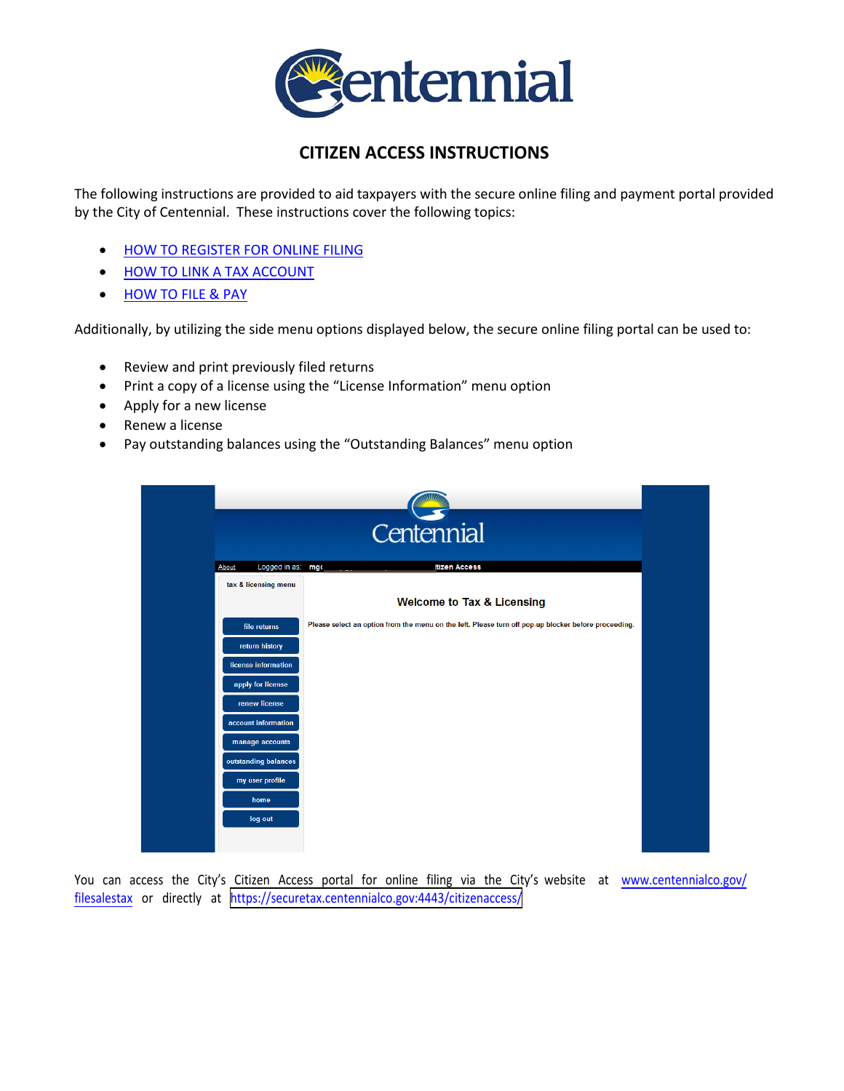

## **CITIZEN ACCESS INSTRUCTIONS**

The following instructions are provided to aid taxpayers with the secure online filing and payment portal provided by the City of Centennial. These instructions cover the following topics:

- **[HOW TO REGISTER FOR ONLINE FILING](#page-0-0)**
- [HOW TO LINK A TAX ACCOUNT](#page-1-0)
- [HOW TO FILE & PAY](#page-2-0)

Additionally, by utilizing the side menu options displayed below, the secure online filing portal can be used to:

- Review and print previously filed returns
- Print a copy of a license using the "License Information" menu option
- Apply for a new license
- Renew a license
- Pay outstanding balances using the "Outstanding Balances" menu option



<span id="page-0-0"></span>You can access the City's Citizen Access portal for online filing via the City's website at www.centennialco.gov/ filesalestax [or directly at](http://www.centennialco.gov/filesalestax) <https://securetax.centennialco.gov:4443/citizenaccess/>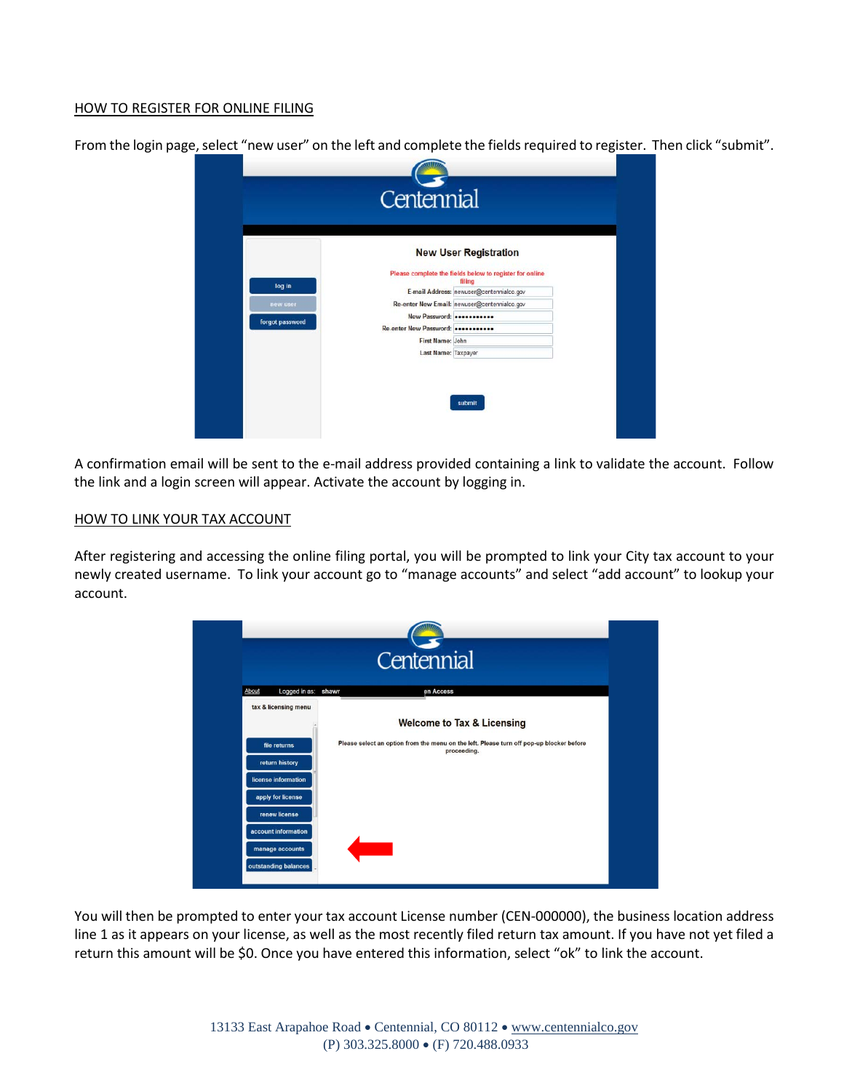## HOW TO REGISTER FOR ONLINE FILING

From the login page, select "new user" on the left and complete the fields required to register. Then click "submit".

|                 | <b>New User Registration</b>                                      |  |
|-----------------|-------------------------------------------------------------------|--|
|                 | Please complete the fields below to register for online<br>filing |  |
| log in          | E-mail Address: newuser@centennialco.gov                          |  |
| new user        | Re-enter New Email: newuser@centennialco.gov                      |  |
| forgot password | New Password:                                                     |  |
|                 | Re-enter New Password:                                            |  |
|                 | First Name: John                                                  |  |
|                 | Last Name: Taxpayer                                               |  |

A confirmation email will be sent to the e-mail address provided containing a link to validate the account. Follow the link and a login screen will appear. Activate the account by logging in.

## HOW TO LINK YOUR TAX ACCOUNT

After registering and accessing the online filing portal, you will be prompted to link your City tax account to your newly created username. To link your account go to "manage accounts" and select "add account" to lookup your account.

<span id="page-1-0"></span>

You will then be prompted to enter your tax account License number (CEN-000000), the business location address line 1 as it appears on your license, as well as the most recently filed return tax amount. If you have not yet filed a return this amount will be \$0. Once you have entered this information, select "ok" to link the account.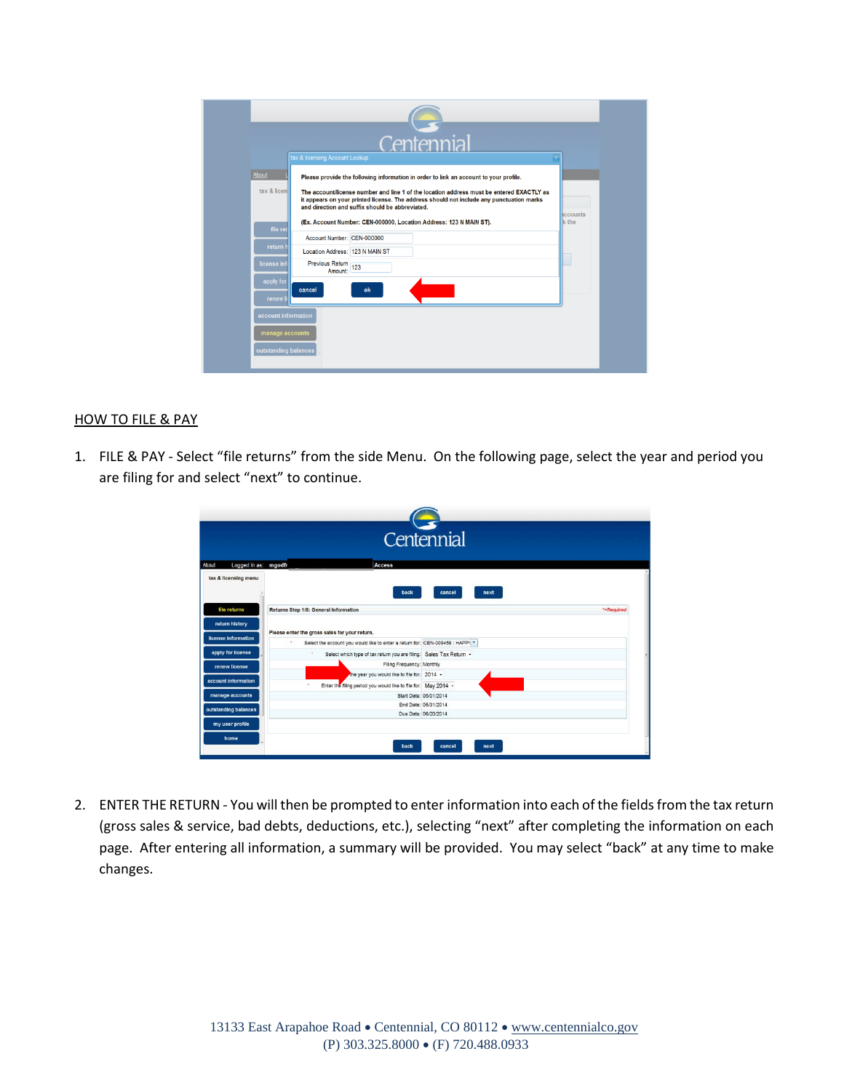| <b>About</b>         | tax & licensing Account Lookup  | Centennial                                                                                                                                                                                                                                                                                                                                                                                             |                                 |
|----------------------|---------------------------------|--------------------------------------------------------------------------------------------------------------------------------------------------------------------------------------------------------------------------------------------------------------------------------------------------------------------------------------------------------------------------------------------------------|---------------------------------|
| tax & licen          |                                 | Please provide the following information in order to link an account to your profile.<br>The account/license number and line 1 of the location address must be entered EXACTLY as<br>it appears on your printed license. The address should not include any punctuation marks<br>and direction and suffix should be abbreviated.<br>(Ex. Account Number: CEN-000000, Location Address: 123 N MAIN ST). | <b>Accounts</b><br><b>k</b> the |
| file ret             | Account Number: CEN-000000      |                                                                                                                                                                                                                                                                                                                                                                                                        |                                 |
| return I             | Location Address: 123 N MAIN ST |                                                                                                                                                                                                                                                                                                                                                                                                        |                                 |
| license inf          | Previous Return 123<br>Amount:  |                                                                                                                                                                                                                                                                                                                                                                                                        |                                 |
| apply for<br>renew I | cancel                          | ok                                                                                                                                                                                                                                                                                                                                                                                                     |                                 |
| account information  |                                 |                                                                                                                                                                                                                                                                                                                                                                                                        |                                 |

## <span id="page-2-0"></span>HOW TO FILE & PAY

1. FILE & PAY - Select "file returns" from the side Menu. On the following page, select the year and period you are filing for and select "next" to continue.

| Centennial                                                                                   |                                                                                               |                        |  |  |
|----------------------------------------------------------------------------------------------|-----------------------------------------------------------------------------------------------|------------------------|--|--|
| Logged in as: mgodfr<br>About                                                                | Access                                                                                        |                        |  |  |
| tax & licensing menu                                                                         | back                                                                                          | cancel<br>next         |  |  |
| file returns                                                                                 | Returns Step 1/8: General Information                                                         | *=Required             |  |  |
| return history                                                                               |                                                                                               |                        |  |  |
|                                                                                              | Please enter the gross sales for your return.                                                 |                        |  |  |
|                                                                                              |                                                                                               |                        |  |  |
|                                                                                              | $\mathbf{r}$<br>Select the account you would like to enter a return for: CEN-009456 : HAPP\ * |                        |  |  |
| apply for license                                                                            | ٠<br>Select which type of tax return you are filing: Sales Tax Return -                       |                        |  |  |
| renew license                                                                                | Filing Frequency: Monthly                                                                     |                        |  |  |
|                                                                                              | the year you would like to file for: 2014 -                                                   |                        |  |  |
|                                                                                              | Enter the filing period you would like to file for: May 2014 -                                |                        |  |  |
| manage accounts                                                                              |                                                                                               | Start Date: 05/01/2014 |  |  |
|                                                                                              |                                                                                               | End Date: 05/31/2014   |  |  |
|                                                                                              |                                                                                               | Due Date: 06/20/2014   |  |  |
| <b>license information</b><br>account information<br>outstanding balances<br>my user profile |                                                                                               |                        |  |  |

2. ENTER THE RETURN - You will then be prompted to enter information into each of the fields from the tax return (gross sales & service, bad debts, deductions, etc.), selecting "next" after completing the information on each page. After entering all information, a summary will be provided. You may select "back" at any time to make changes.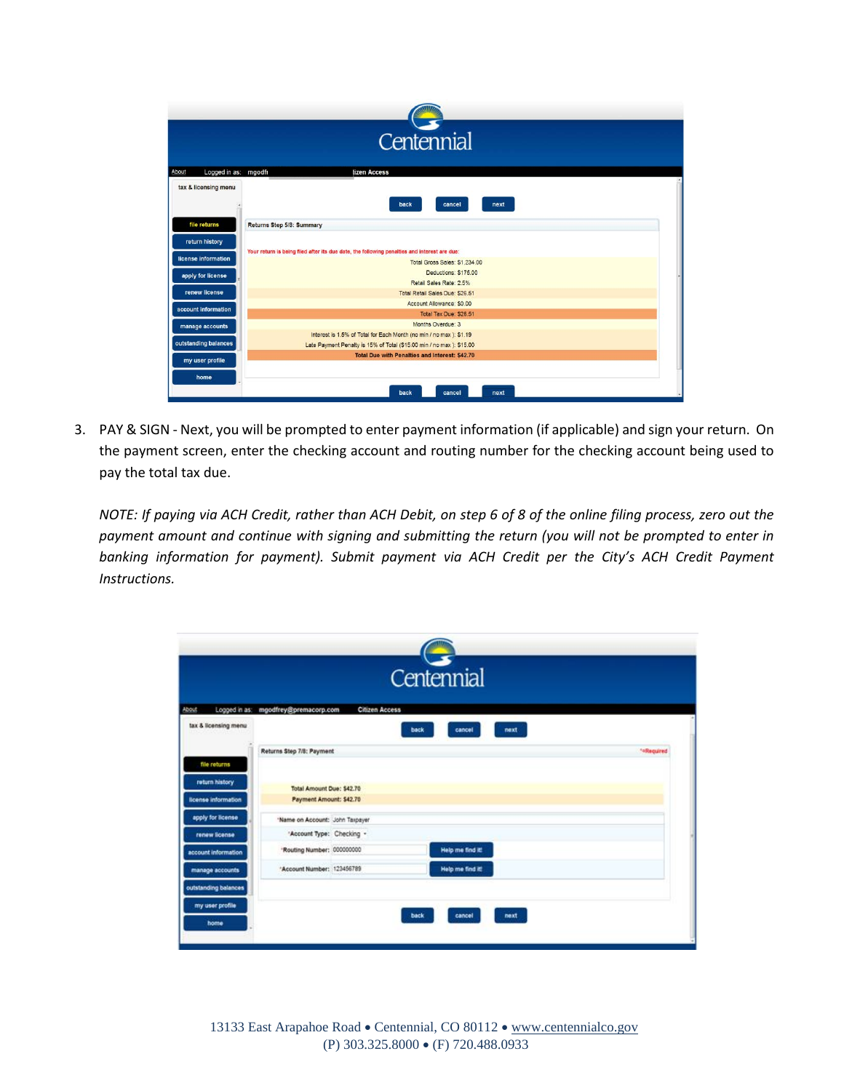|                               | Centennial                                                                                   |
|-------------------------------|----------------------------------------------------------------------------------------------|
| About<br>Logged in as: mgodfr | tizen Access                                                                                 |
| tax & licensing menu          | back<br>cancel<br>next                                                                       |
| file returns                  | Returns Step 5/8: Summary                                                                    |
| return history                |                                                                                              |
| license information           | Your return is being filed after its due date, the following penalties and interest are due: |
|                               | Total Gross Sales: \$1,234.00<br>Deductions: \$175.00                                        |
| apply for license             | Retail Sales Rate: 2.5%                                                                      |
| renew license                 | Total Retail Sales Due: \$26.51                                                              |
|                               | Account Allowance: \$0.00                                                                    |
| account information           | Total Tax Due: \$26.51                                                                       |
| manage accounts               | Months Overdue: 3                                                                            |
|                               | Interest is 1.5% of Total for Each Month (no min / no max ): \$1.19                          |
| outstanding balances          | Late Payment Penalty is 15% of Total (\$15.00 min / no max ): \$15.00                        |
| my user profile               | <b>Total Due with Penalties and Interest: \$42.70</b>                                        |
| home                          |                                                                                              |
|                               | back<br>cancel<br>next                                                                       |

3. PAY & SIGN - Next, you will be prompted to enter payment information (if applicable) and sign your return. On the payment screen, enter the checking account and routing number for the checking account being used to pay the total tax due.

*NOTE: If paying via ACH Credit, rather than ACH Debit, on step 6 of 8 of the online filing process, zero out the payment amount and continue with signing and submitting the return (you will not be prompted to enter in banking information for payment). Submit payment via ACH Credit per the City's ACH Credit Payment Instructions.*

|                      |                                      |                       | Centennial       |      |            |
|----------------------|--------------------------------------|-----------------------|------------------|------|------------|
| <b>About</b>         | Logged in as: mgodfrey@premacorp.com | <b>Citizen Access</b> |                  |      |            |
| tax & licensing menu |                                      |                       | back<br>cancel   | next |            |
|                      | Returns Step 7/8: Payment            |                       |                  |      | **Required |
| file returns         |                                      |                       |                  |      |            |
| return history       | Total Amount Due: \$42.70            |                       |                  |      |            |
| license information  | Payment Amount: \$42.70              |                       |                  |      |            |
| apply for license    | 'Name on Account: John Taxpayer      |                       |                  |      |            |
| renew license        | 'Account Type: Checking -            |                       |                  |      |            |
| account information  | "Routing Number: 000000000           |                       | Help me find it! |      |            |
| manage accounts      | "Account Number: 123456789           |                       | Help me find it! |      |            |
| outstanding balances |                                      |                       |                  |      |            |
| my user profile      |                                      |                       |                  |      |            |
|                      |                                      |                       | back<br>cancel   | next |            |